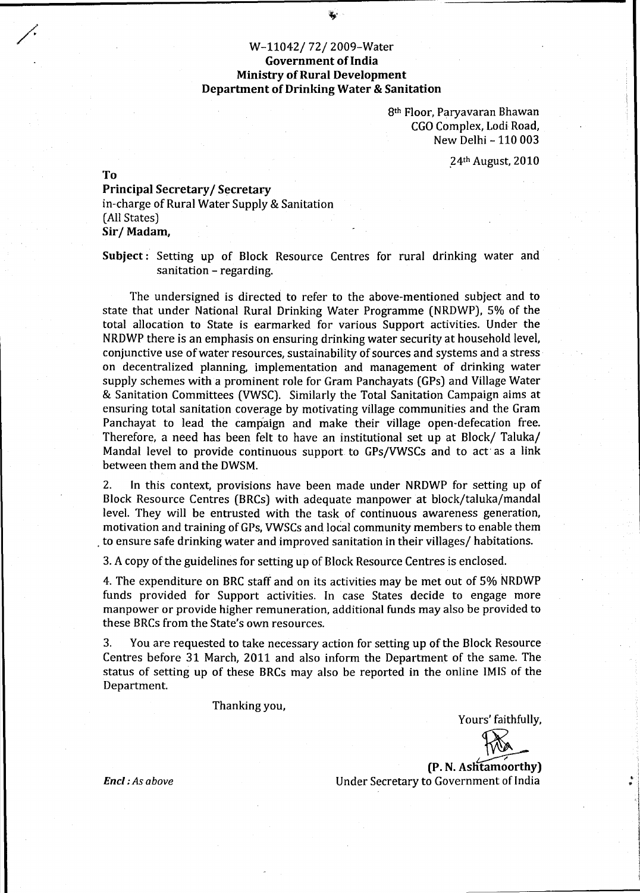# / W-11042/ 72/ 2009-Water Government of India **Ministry of Rural Development** Department of Drinking Water & Sanitation

8th Floor, Paryavaran Bhawan CGO Complex, Lodi Road, New Delhi -110 003

.24th August, 2010

To

# Principal Secretary/ Secretary in-charge of Rural Water Supply & Sanitation (All States) Sir/ Madam,

Subject : Setting up of Block Resource Centres for rural drinking water and sanitation - regarding.

The undersigned is directed to refer to the above-mentioned subject and to state that under National Rural Drinking Water Programme (NRDWP), 5% of the total allocation to State is earmarked for various Support activities. Under the NRDWP there is an emphasis on ensuring drinking water security at household level, conjunctive use ofwater resources, sustainability of sources and systems and a stress on decentralized planning, implementation and management of drinking water supply schemes with a prominent role for Gram Panchayats (GPs) and Village Water & Sanitation Committees (VWSC). Similarly the Total Sanitation Campaign aims at ensuring total sanitation coverage by motivating village communities and the Gram Panchayat to lead the campaign and make their village open-defecation free. Therefore, a need has been felt to have an institutional set up at Block/ Taluka/ Manda! level to provide continuous support to GPs/VWSCs and to act· as a link between them and the DWSM.

2. In this context, provisions have been made under NRDWP for setting up of Block Resource Centres (BRCs) with adequate manpower at block/taluka/mandal level. They will be entrusted with the task of continuous awareness generation, motivation and training of GPs, VWSCs and local community members to enable them . to ensure safe drinking water and improved sanitation in their villages/ habitations.

3. *A* copy of the guidelines for setting up of Block Resource Centres is enclosed.

4. The expenditure on BRC staff and on its activities may be met out of 5% NRDWP funds provided for Support activities. In case States decide to engage more manpower or provide higher remuneration, additional funds may also be provided to these BRCs from the State's own resources.

3. You are requested to take necessary action for setting up of the Block Resource Centres before 31 March, 2011 and also inform the Department of the same. The status of setting up of these BRCs may also be reported in the online IMIS of the Department.

Thanking you,

Yours' faithfully,

(P. N. Aslitamoorthy) ~ Under Secretary to Government of India

Encl: As above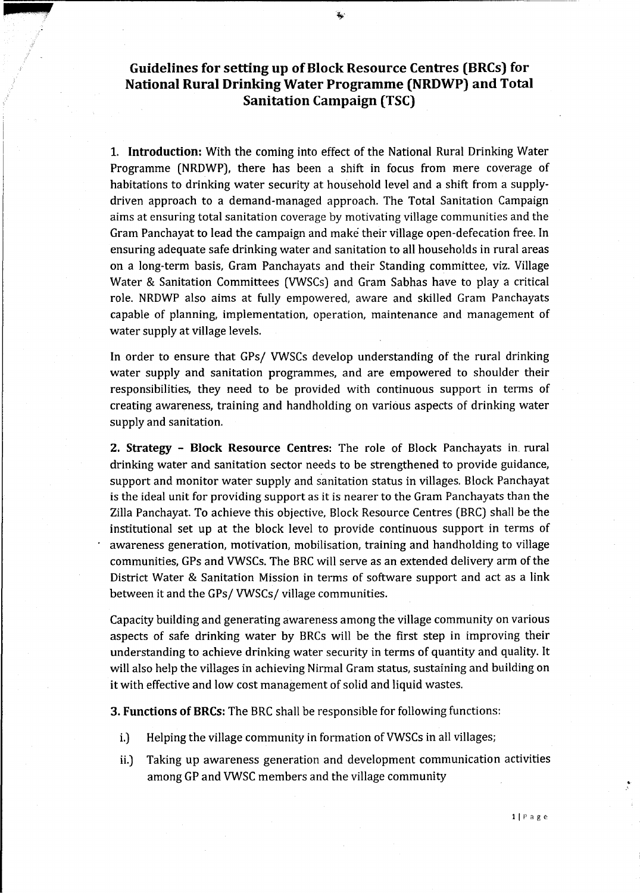# **Guidelines for setting up ofBlock Resource Centres (BRCs) for National Rural Drinking Water Programme (NRDWP) and Total Sanitation Campaign (TSC)**

**1. Introduction:** With the coming into effect of the National Rural Drinking Water Programme (NRDWP), there has been a shift in focus from mere coverage of habitations to drinking water security at household level and a shift from a supplydriven approach to a demand-managed approach. The Total Sanitation Campaign aims at ensuring total sanitation coverage by motivating village communities and the Gram Panchayat to lead the campaign and make their village open-defecation free. In ensuring adequate safe drinking water and sanitation to all households in rural areas on a long-term basis, Gram Panchayats and their Standing committee, viz. Village Water & Sanitation Committees (VWSCs) and Gram Sabhas have to play a critical role. NRDWP also aims at fully empowered, aware and skilled Gram Panchayats capable of planning, implementation, operation, maintenance and management of water supply at village levels.

In order to ensure that GPs/ VWSCs develop understanding of the rural drinking water supply and sanitation programmes, and are empowered to shoulder their responsibilities, they need to be provided with continuous support in terms of creating awareness, training and handholding on various aspects of drinking water supply and sanitation.

**2. Strategy - Block Resource Centres:** The role of Block Panchayats in. rural drinking water and sanitation sector needs to be strengthened to provide guidance, support and monitor water supply and sanitation status in villages. Block Panchayat is the ideal unit for providing support as it is nearer to the Gram Panchayats than the Zilla Panchayat. To achieve this objective, Block Resource Centres (BRC) shall be the institutional set up at the block level to provide continuous support in terms of awareness generation, motivation, mobilisation, training and handholding to village communities, GPs and VWSCs. The BRC will serve as an extended delivery arm of the District Water & Sanitation Mission in terms of software support and act as a link between it and the GPs/ VWSCs/ village communities.

Capacity building and generating awareness among the village community on various aspects of safe drinking water by BRCs will be the first step in improving their understanding to achieve drinking water security in terms of quantity and quality. It will also help the villages in achieving Nirmal Gram status, sustaining and building on it with effective and low cost management of solid and liquid wastes.

**3. Functions of BRCs:** The BRC shall be responsible for following functions:

- i.) Helping the village community in formation of VWSCs in all villages;
- ii.) Taking up awareness generation and development communication activities among GP and VWSC members and the village community

 $\frac{1}{2}$ 

**a** *XLS*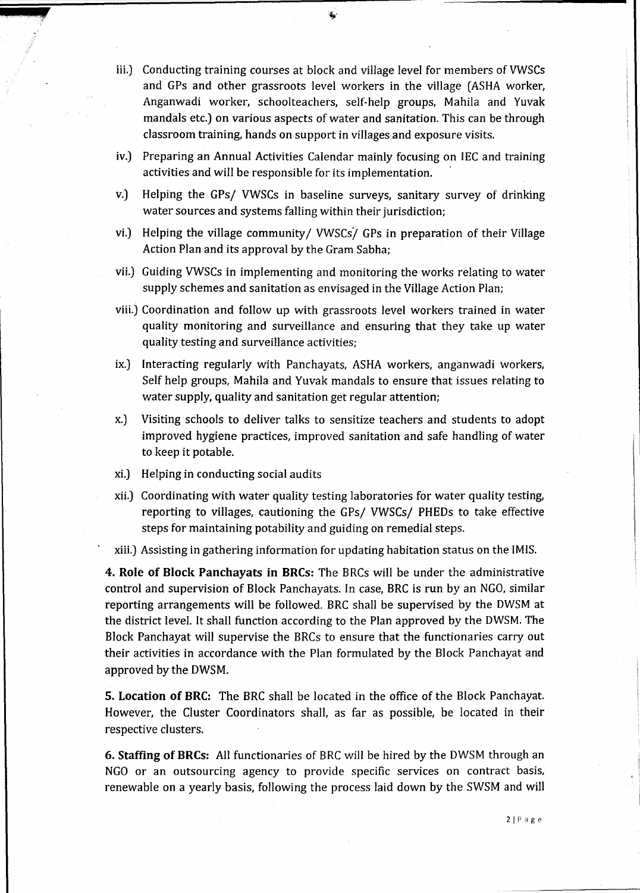- iii.) Conducting training courses at block and village level for members of VWSCs and GPs and other grassroots level workers in the village (ASHA worker, Anganwadi worker, schoolteachers, self-help groups, Mahila and Yuvak mandals etc.) on various aspects of water and sanitation. This can be through classroom training, hands on support in villages and exposure visits.
- iv.) Preparing an Annual Activities Calendar mainly focusing on IEC and training activities and will be responsible for its implementation.
- v.) Helping the GPs/ VWSCs in baseline surveys, sanitary survey of drinking water sources and systems falling within their jurisdiction;
- vi.) Helping the village community/ VWSCs/ GPs in preparation of their Village Action Plan and its approval by the Gram Sabha;
- vii.) Guiding VWSCs in implementing and monitoring the works relating to water supply schemes and sanitation as envisaged in the Village Action Plan;
- viii.) Coordination and follow up with grassroots level Workers trained in water quality monitoring and surveillance and ensuring that they take up water quality testing and surveillance activities;
- ix.) Interacting regularly with Panchayats, ASHA workers, anganwadi workers, Self help groups, Mahila and Yuvak mandals to ensure that issues relating to water supply, quality and sanitation get regular attention;
- x.) Visiting schools to deliver talks to sensitize teachers and students to adopt improved hygiene practices, improved sanitation and safe handling of water to keep it potable.
- xi.) Helping in conducting social audits

**4** *'-4*  <sup>~</sup>

- xii.) Coordinating with water quality testing laboratories for water quality testing, reporting to villages, cautioning the GPs/ VWSCs/ PHEDs to take effective steps for maintaining potability and guiding on remedial steps.
- xiii.) Assisting in gathering information for updating habitation status on the IMIS.

**4. Role of Block Panchayats in BRCs:** The BRCs will be under the administrative control and supervision of Block Panchayats. In case, BRC is run by an NGO, similar reporting arrangements will be followed. BRC shall be supervised by the DWSM at the district level. It shall function according to the Plan approved by the DWSM. The Block Panchayat will supervise the BRCs to ensure that the functionaries carry out their activities in accordance with the Plan formulated by the Block Panchayat and approved by the DWSM.

**5. Location of BRC:** The BRC shall be located in the office of the Block Panchayat. However, the Cluster Coordinators shall, as far as possible, be located in their respective clusters.

**6. Staffing of BRCs:** All functionaries of BRC will be hired by the DWSM through an NGO or an outsourcing agency to provide specific services on contract basis, renewable on a yearly basis, following the process laid down by the SWSM and will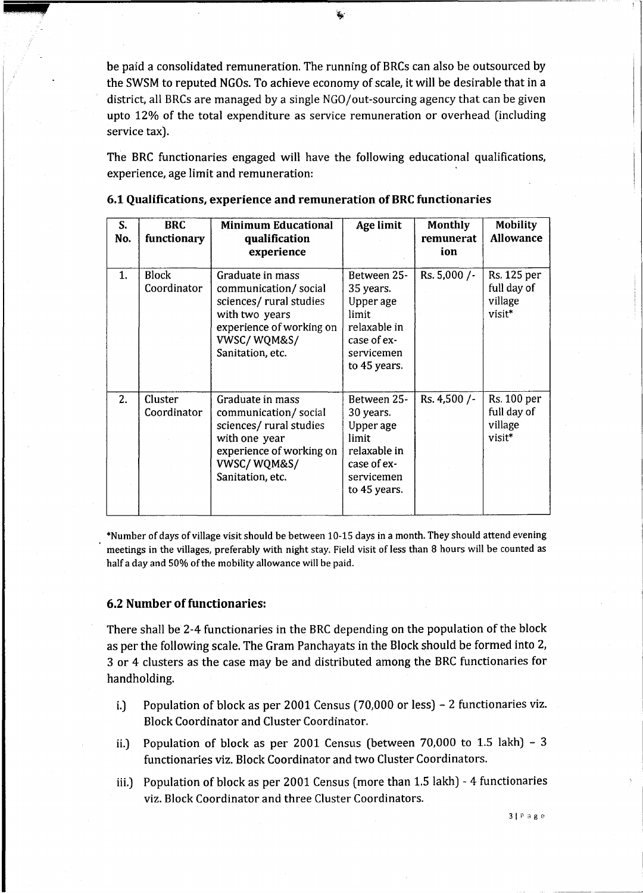be paid a consolidated remuneration. The running of BRCs can also be outsourced by the SWSM to reputed NGOs. To achieve economy of scale, it will be desirable that in a district, all BRCs are managed by a single NGO/out-sourcing agency that can be given upto 12% of the total expenditure as service remuneration or overhead (including service tax).

The BRC functionaries engaged will have the following educational qualifications, experience, age limit and remuneration:

| S.<br>No. | <b>BRC</b><br>functionary   | <b>Minimum Educational</b><br>qualification<br>experience                                                                                            | Age limit                                                                                                   | <b>Monthly</b><br>remunerat<br>ion | <b>Mobility</b><br><b>Allowance</b>             |
|-----------|-----------------------------|------------------------------------------------------------------------------------------------------------------------------------------------------|-------------------------------------------------------------------------------------------------------------|------------------------------------|-------------------------------------------------|
| 1.        | <b>Block</b><br>Coordinator | Graduate in mass<br>communication/social<br>sciences/ rural studies<br>with two years<br>experience of working on<br>VWSC/WQM&S/<br>Sanitation, etc. | Between 25-<br>35 years.<br>Upper age<br>limit<br>relaxable in<br>case of ex-<br>servicemen<br>to 45 years. | Rs. $5,000$ /-                     | Rs. 125 per<br>full day of<br>village<br>visit* |
| 2.        | Cluster<br>Coordinator      | Graduate in mass<br>communication/social<br>sciences/ rural studies<br>with one year<br>experience of working on<br>VWSC/WQM&S/<br>Sanitation, etc.  | Between 25-<br>30 years.<br>Upper age<br>limit<br>relaxable in<br>case of ex-<br>servicemen<br>to 45 years. | Rs. 4,500 /-                       | Rs. 100 per<br>full day of<br>village<br>visit* |

## 6.1 Qualifications, experience and remuneration of BRC functionaries

\*Number of days of village visit should be between 10-15 days in a month. They should attend evening meetings in the villages, preferably with night stay. Field visit of less than 8 hours will be counted as half a day and 50% of the mobility allowance will be paid.

### 6.2 Number of functionaries:

144

There shall be 2-4 functionaries in the BRC depending on the population of the block as per the following scale. The Gram Panchayats in the Block should be formed into 2, 3 or 4 clusters as the case may be and distributed among the BRC functionaries for handholding.

- i.) Population of block as per 2001 Census (70,000 or less) 2 functionaries viz. Block Coordinator and Cluster Coordinator.
- ii.) Population of block as per 2001 Census (between 70,000 to 1.5 lakh) 3 functionaries viz. Block Coordinator and two Cluster Coordinators.
- iii.) Population of block as per 2001 Census (more than 1.5 lakh) 4 functiona ries viz. Block Coordinator and three Cluster Coordinators.

 $\mathbf{f}_\mathrm{g}$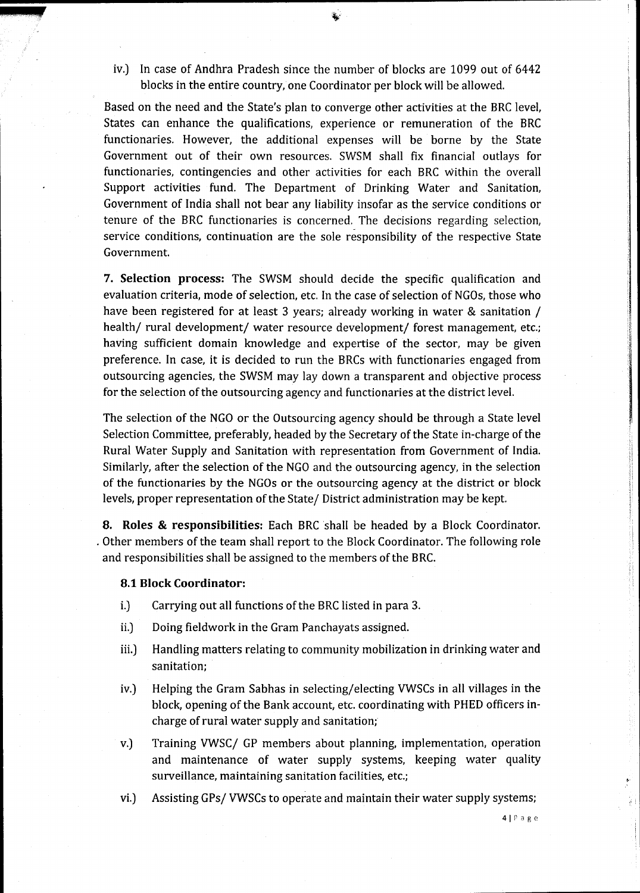iv.) In case of Andhra Pradesh since the number of blocks are 1099 out of 6442 blocks in the entire country, one Coordinator per block will be allowed.

Based on the need and the State's plan to converge other activities at the BRC level, States can enhance the qualifications, experience or remuneration of the BRC functionaries. However, the additional expenses will be borne by the State Government out of their own resources. SWSM shall fix financial outlays for functionaries, contingencies and other activities for each BRC within the overall Support activities fund. The Department of Drinking Water and Sanitation, Government of India shall not bear any liability insofar as the service conditions or tenure of the BRC functionaries is concerned. The decisions regarding selection, service conditions, continuation are the sole responsibility of the respective State Government.

**7. Selection process:** The SWSM should decide the specific qualification and evaluation criteria, mode of selection, etc. In the case of selection of NGOs, those who have been registered for at least 3 years; already working in water & sanitation / health/ rural development/ water resource development/ forest management, etc.; having sufficient domain knowledge and expertise of the sector, may be given preference. In case, it is decided to run the BRCs with functionaries engaged from outsourcing agencies, the SWSM may lay down a transparent and objective process for the selection of the outsourcing agency and functionaries at the district level.

The selection of the NGO or the Outsourcing agency should be through a State level Selection Committee, preferably, headed by the Secretary of the State in-charge of the Rural Water Supply and Sanitation with representation from Government of India. Similarly, after the selection of the NGO and the outsourcing agency, in the selection of the functionaries by the NGOs or the outsourcing agency at the district or block levels, proper representation of the State/ District administration may be kept.

**8. Roles & responsibilities:** Each BRC shall be headed by a Block Coordinator . . Other members of the team shall report to the Block Coordinator. The following role and responsibilities shall be assigned to the members of the BRC.

#### **8.1 Block Coordinator:**

**ikli.ZUlkf** 

- i.) Carrying out all functions of the BRC listed in para 3.
- ii.) Doing fieldwork in the Gram Panchayats assigned.
- iii.) Handling matters relating to community mobilization in drinking water and sanitation;
- iv.) Helping the Gram Sabhas in selecting/electing VWSCs in all villages in the block, opening of the Bank account, etc. coordinating with PHED officers incharge of rural water supply and sanitation;
- v.) Training VWSC/ GP members about planning, implementation, operation and maintenance of water supply systems, keeping water quality surveillance, maintaining sanitation facilities, etc.;
- vi.) Assisting GPs/ VWSCs to operate and maintain their water supply systems;

4IPage

 $\mathbf{L}$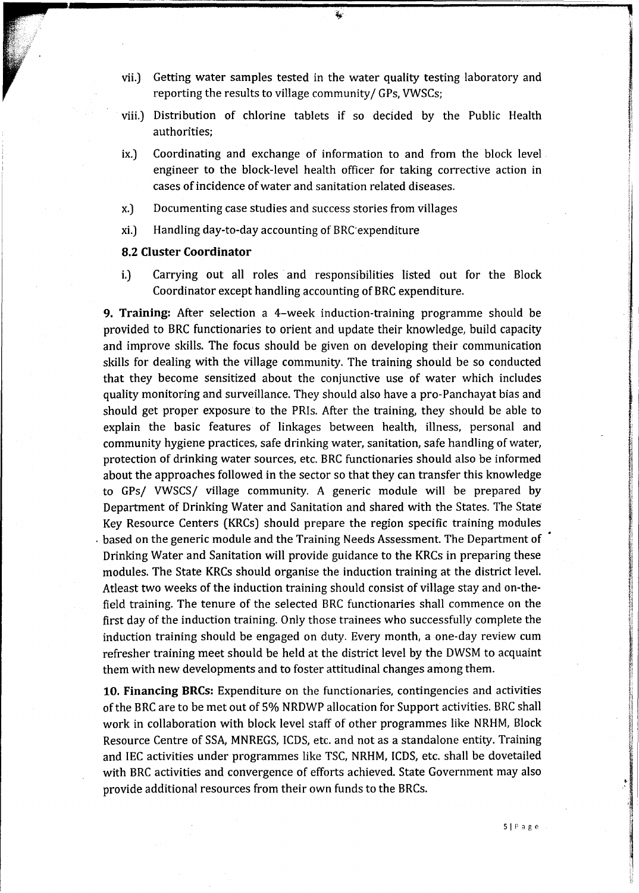vii.) Getting water samples tested in the water quality testing laboratory and reporting the results to village community/ GPs, VWSCs;

 $\mathbf{z}_2$ 

- viii.) Distribution of chlorine tablets if so decided by the Public Health authorities;
- ix.) Coordinating and exchange of information to and from the block level engineer to the block-level health officer for taking corrective action in cases of incidence of water and sanitation related diseases.
- x.) Documenting case studies and success stories from villages
- xi.) Handling day-to-day accounting of BRC-expenditure

## 8.2 **Cluster Coordinator**

i.) Carrying out all roles and responsibilities listed out for the Block Coordinator except handling accounting of BRC expenditure.

**9. Training:** After selection a 4-week induction-training programme should be ' provided to BRC functionaries to orient and update their knowledge, build capacity and improve skills. The focus should be given on developing their communication skills for dealing with the village community. The training should be so conducted that they become sensitized about the conjunctive use of water which includes quality monitoring and surveillance. They should also have a pro-Panchayat bias and should get proper exposure to the PRis. After the training, they should be able to explain the basic features of linkages between health, illness, personal and community hygiene practices, safe drinking water, sanitation, safe handling of water, protection of drinking water sources, etc. BRC functionaries should also be informed about the approaches followed in the sector so that they can transfer this knowledge to GPs/ VWSCS/ village community. A generic module will be prepared by Department of Drinking Water and Sanitation and shared with the States. The State Key Resource Centers (KRCs) should prepare the region specific training modules . based on the generic module and the Training Needs Assessment. The Department of Drinking Water and Sanitation will provide guidance to the KRCs in preparing these modules. The State KRCs should organise the induction training at the district level. Atleast two weeks of the induction training should consist of village stay and on-thefield training. The tenure of the selected BRC functionaries shall commence on the first day of the induction training. Only those trainees who successfully complete the induction training should be engaged on duty. Every month, a one-day review cum refresher training meet should be held at the district level by the DWSM to acquaint them with new developments and to foster attitudinal changes among them.

**10. Financing BRCs:** Expenditure on the functionaries, contingencies and activities of the BRC are to be met out of 5% NRDWP allocation for Support activities. BRC shall work in collaboration with block level staff of other programmes like NRHM, Block Resource Centre of SSA, MNREGS, ICDS, etc. and not as a standalone entity. Training and IEC activities under programmes like TSC, NRHM, ICDS, etc. shall be dovetailed with BRC activities and convergence of efforts achieved. State Government may also provide additional resources from their own funds to the BRCs.

i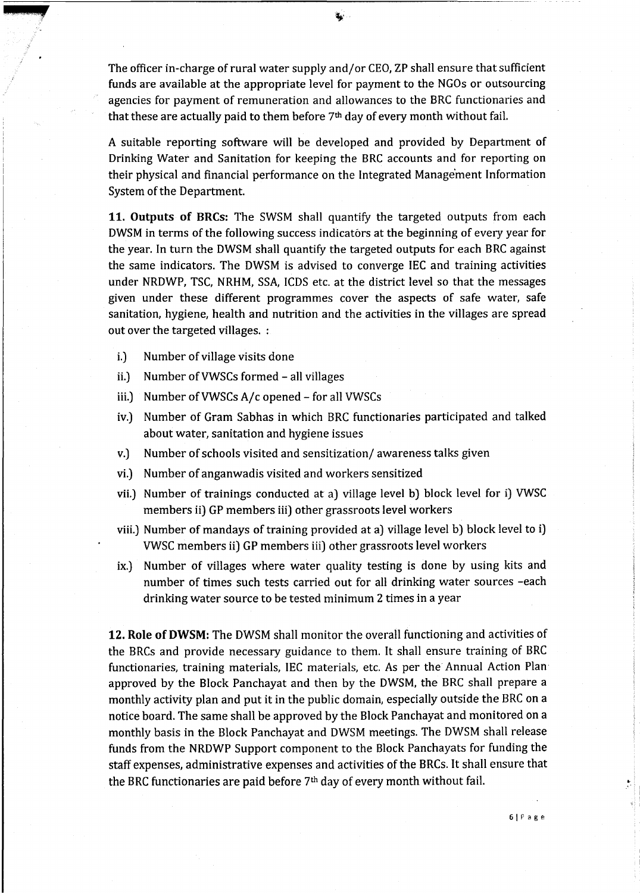The officer in-charge of rural water supply and/or CEO, ZP shall ensure that sufficient funds are available at the appropriate level for payment to the NGOs or outsourcing agencies for payment of remuneration and allowances to the BRC functionaries and that these are actually paid to them before  $7<sup>th</sup>$  day of every month without fail.

A suitable reporting software will be developed and provided by Department of Drinking Water and Sanitation for keeping the BRC accounts and for reporting on their physical and financial performance on the Integrated Manage'ment Information System of the Department.

**11. Outputs of BRCs:** The SWSM shall quantify the targeted outputs from each DWSM in terms of the following success indicators at the beginning of every year for the year. In turn the DWSM shall quantify the targeted outputs for each BRC against the same indicators. The DWSM is advised to converge IEC and training activities under NRDWP, TSC, NRHM, SSA, ICDS etc. at the district level so that the messages given under these different programmes cover the aspects of safe water, safe sanitation, hygiene, health and nutrition and the activities in the villages are spread out over the targeted villages. :

i.) Number of village visits done

**d!l ullJ** 

- ii.) Number of VWSCs formed all villages
- iii.) Number ofVWSCs A/c opened- for all VWSCs
- iv.) Number of Gram Sabhas in which BRC functionaries participated and talked about water, sanitation and hygiene issues
- v.) Number of schools visited and sensitization/ awareness talks given
- vi.) Number of anganwadis visited and workers sensitized
- vii.) Number of trainings conducted at a) village level b) block level for i) VWSC members ii) GP members iii) other grassroots level workers
- viii.) Number of mandays of training provided at a) village level b) block level to i) VWSC members ii) GP members iii) other grassroots level workers
- ix.) Number of villages where water quality testing is done by using kits and number of times such tests carried out for all drinking water sources -each drinking water source to be tested minimum 2 times in a year

**12. Role of DWSM:** The DWSM shall monitor the overall functioning and activities of the BRCs and provide necessary guidance to them. It shall ensure training of BRC functionaries, training materials, IEC materials, etc. As per the Annual Action Plan approved by the Block Panchayat and then by the DWSM, the BRC shall prepare a monthly activity plan and put it in the public domain, especially outside the BRC on a notice board. The same shall be approved by the Block Panchayat and monitored on a monthly basis in the Block Panchayat and DWSM meetings. The DWSM shall release funds from the NRDWP Support component to the Block Panchayats for funding the staff expenses, administrative expenses and activities of the BRCs. It shall ensure that the BRC functionaries are paid before  $7<sup>th</sup>$  day of every month without fail.

6IPage